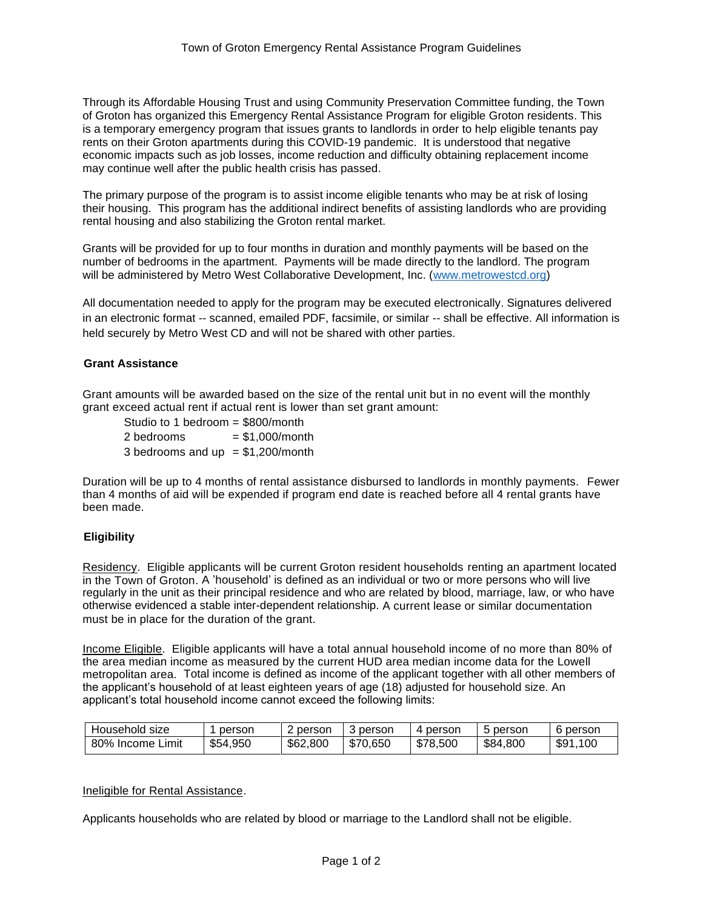Through its Affordable Housing Trust and using Community Preservation Committee funding, the Town of Groton has organized this Emergency Rental Assistance Program for eligible Groton residents. This is a temporary emergency program that issues grants to landlords in order to help eligible tenants pay rents on their Groton apartments during this COVID-19 pandemic. It is understood that negative economic impacts such as job losses, income reduction and difficulty obtaining replacement income may continue well after the public health crisis has passed.

The primary purpose of the program is to assist income eligible tenants who may be at risk of losing their housing. This program has the additional indirect benefits of assisting landlords who are providing rental housing and also stabilizing the Groton rental market.

Grants will be provided for up to four months in duration and monthly payments will be based on the number of bedrooms in the apartment. Payments will be made directly to the landlord. The program will be administered by Metro West Collaborative Development, Inc. [\(www.metrowestcd.org\)](http://www.metrowestcd.org/)

All documentation needed to apply for the program may be executed electronically. Signatures delivered in an electronic format -- scanned, emailed PDF, facsimile, or similar -- shall be effective. All information is held securely by Metro West CD and will not be shared with other parties.

# **Grant Assistance**

Grant amounts will be awarded based on the size of the rental unit but in no event will the monthly grant exceed actual rent if actual rent is lower than set grant amount:

Studio to 1 bedroom = \$800/month  $2 \text{ bedrooms} = $1,000/\text{month}$ 3 bedrooms and  $up = $1,200/month$ 

Duration will be up to 4 months of rental assistance disbursed to landlords in monthly payments. Fewer than 4 months of aid will be expended if program end date is reached before all 4 rental grants have been made.

# **Eligibility**

Residency. Eligible applicants will be current Groton resident households renting an apartment located in the Town of Groton. A 'household' is defined as an individual or two or more persons who will live regularly in the unit as their principal residence and who are related by blood, marriage, law, or who have otherwise evidenced a stable inter-dependent relationship. A current lease or similar documentation must be in place for the duration of the grant.

Income Eligible. Eligible applicants will have a total annual household income of no more than 80% of the area median income as measured by the current HUD area median income data for the Lowell metropolitan area. Total income is defined as income of the applicant together with all other members of the applicant's household of at least eighteen years of age (18) adjusted for household size. An applicant's total household income cannot exceed the following limits:

| Household size         | person   | person   | person   | 4 person | person<br>∽ | 6 person     |
|------------------------|----------|----------|----------|----------|-------------|--------------|
| Limit<br>80%<br>Income | \$54,950 | \$62,800 | \$70,650 | \$78,500 | \$84,800    | \$91<br>.100 |

### Ineligible for Rental Assistance.

Applicants households who are related by blood or marriage to the Landlord shall not be eligible.